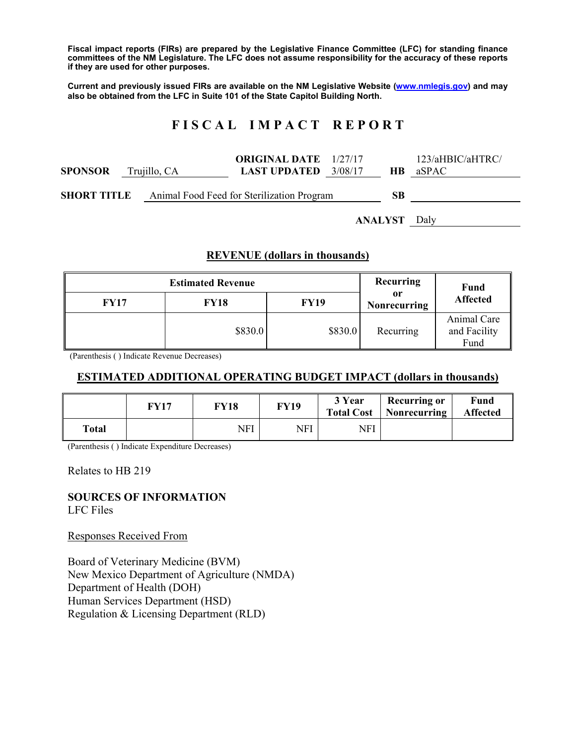**Fiscal impact reports (FIRs) are prepared by the Legislative Finance Committee (LFC) for standing finance committees of the NM Legislature. The LFC does not assume responsibility for the accuracy of these reports if they are used for other purposes.** 

**Current and previously issued FIRs are available on the NM Legislative Website (www.nmlegis.gov) and may also be obtained from the LFC in Suite 101 of the State Capitol Building North.** 

# **F I S C A L I M P A C T R E P O R T**

| <b>SPONSOR</b>     | Trujillo, CA | <b>ORIGINAL DATE</b> 1/27/17<br><b>LAST UPDATED</b> 3/08/17 |  | HB.     | 123/aH BIC/aHTRC/<br>aSPAC |
|--------------------|--------------|-------------------------------------------------------------|--|---------|----------------------------|
| <b>SHORT TITLE</b> |              | Animal Food Feed for Sterilization Program                  |  | SB      |                            |
|                    |              |                                                             |  | ANALYST | Dalv                       |

#### **REVENUE (dollars in thousands)**

| <b>Estimated Revenue</b><br><b>FY17</b><br><b>FY18</b><br><b>FY19</b> |         |         | Recurring<br>or<br>Nonrecurring | <b>Fund</b><br><b>Affected</b>      |
|-----------------------------------------------------------------------|---------|---------|---------------------------------|-------------------------------------|
|                                                                       | \$830.0 | \$830.0 | Recurring                       | Animal Care<br>and Facility<br>Fund |

(Parenthesis ( ) Indicate Revenue Decreases)

### **ESTIMATED ADDITIONAL OPERATING BUDGET IMPACT (dollars in thousands)**

|              | FY17 | FY18 | FY19 | 3 Year<br><b>Total Cost</b> | <b>Recurring or</b><br>Nonrecurring | Fund<br><b>Affected</b> |
|--------------|------|------|------|-----------------------------|-------------------------------------|-------------------------|
| <b>Total</b> |      | NFI  | NFI  | NFI                         |                                     |                         |

(Parenthesis ( ) Indicate Expenditure Decreases)

Relates to HB 219

# **SOURCES OF INFORMATION**

LFC Files

Responses Received From

Board of Veterinary Medicine (BVM) New Mexico Department of Agriculture (NMDA) Department of Health (DOH) Human Services Department (HSD) Regulation & Licensing Department (RLD)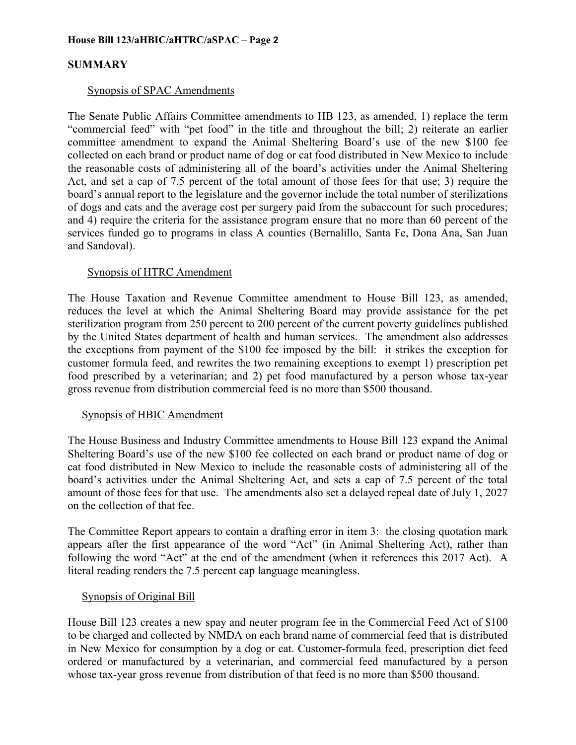# **SUMMARY**

#### Synopsis of SPAC Amendments

The Senate Public Affairs Committee amendments to HB 123, as amended, 1) replace the term "commercial feed" with "pet food" in the title and throughout the bill; 2) reiterate an earlier committee amendment to expand the Animal Sheltering Board's use of the new \$100 fee collected on each brand or product name of dog or cat food distributed in New Mexico to include the reasonable costs of administering all of the board's activities under the Animal Sheltering Act, and set a cap of 7.5 percent of the total amount of those fees for that use; 3) require the board's annual report to the legislature and the governor include the total number of sterilizations of dogs and cats and the average cost per surgery paid from the subaccount for such procedures; and 4) require the criteria for the assistance program ensure that no more than 60 percent of the services funded go to programs in class A counties (Bernalillo, Santa Fe, Dona Ana, San Juan and Sandoval).

#### Synopsis of HTRC Amendment

The House Taxation and Revenue Committee amendment to House Bill 123, as amended, reduces the level at which the Animal Sheltering Board may provide assistance for the pet sterilization program from 250 percent to 200 percent of the current poverty guidelines published by the United States department of health and human services. The amendment also addresses the exceptions from payment of the \$100 fee imposed by the bill: it strikes the exception for customer formula feed, and rewrites the two remaining exceptions to exempt 1) prescription pet food prescribed by a veterinarian; and 2) pet food manufactured by a person whose tax-year gross revenue from distribution commercial feed is no more than \$500 thousand.

#### Synopsis of HBIC Amendment

The House Business and Industry Committee amendments to House Bill 123 expand the Animal Sheltering Board's use of the new \$100 fee collected on each brand or product name of dog or cat food distributed in New Mexico to include the reasonable costs of administering all of the board's activities under the Animal Sheltering Act, and sets a cap of 7.5 percent of the total amount of those fees for that use. The amendments also set a delayed repeal date of July 1, 2027 on the collection of that fee.

The Committee Report appears to contain a drafting error in item 3: the closing quotation mark appears after the first appearance of the word "Act" (in Animal Sheltering Act), rather than following the word "Act" at the end of the amendment (when it references this 2017 Act). A literal reading renders the 7.5 percent cap language meaningless.

#### Synopsis of Original Bill

House Bill 123 creates a new spay and neuter program fee in the Commercial Feed Act of \$100 to be charged and collected by NMDA on each brand name of commercial feed that is distributed in New Mexico for consumption by a dog or cat. Customer-formula feed, prescription diet feed ordered or manufactured by a veterinarian, and commercial feed manufactured by a person whose tax-year gross revenue from distribution of that feed is no more than \$500 thousand.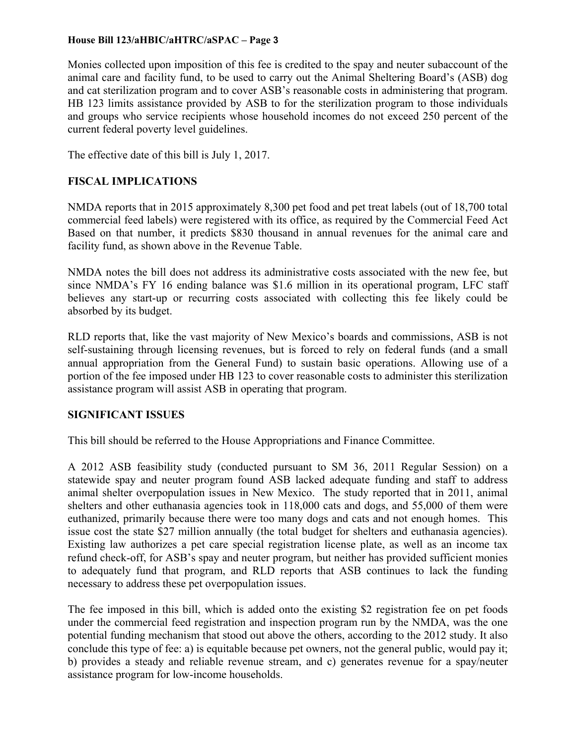#### **House Bill 123/aHBIC/aHTRC/aSPAC – Page 3**

Monies collected upon imposition of this fee is credited to the spay and neuter subaccount of the animal care and facility fund, to be used to carry out the Animal Sheltering Board's (ASB) dog and cat sterilization program and to cover ASB's reasonable costs in administering that program. HB 123 limits assistance provided by ASB to for the sterilization program to those individuals and groups who service recipients whose household incomes do not exceed 250 percent of the current federal poverty level guidelines.

The effective date of this bill is July 1, 2017.

# **FISCAL IMPLICATIONS**

NMDA reports that in 2015 approximately 8,300 pet food and pet treat labels (out of 18,700 total commercial feed labels) were registered with its office, as required by the Commercial Feed Act Based on that number, it predicts \$830 thousand in annual revenues for the animal care and facility fund, as shown above in the Revenue Table.

NMDA notes the bill does not address its administrative costs associated with the new fee, but since NMDA's FY 16 ending balance was \$1.6 million in its operational program, LFC staff believes any start-up or recurring costs associated with collecting this fee likely could be absorbed by its budget.

RLD reports that, like the vast majority of New Mexico's boards and commissions, ASB is not self-sustaining through licensing revenues, but is forced to rely on federal funds (and a small annual appropriation from the General Fund) to sustain basic operations. Allowing use of a portion of the fee imposed under HB 123 to cover reasonable costs to administer this sterilization assistance program will assist ASB in operating that program.

#### **SIGNIFICANT ISSUES**

This bill should be referred to the House Appropriations and Finance Committee.

A 2012 ASB feasibility study (conducted pursuant to SM 36, 2011 Regular Session) on a statewide spay and neuter program found ASB lacked adequate funding and staff to address animal shelter overpopulation issues in New Mexico. The study reported that in 2011, animal shelters and other euthanasia agencies took in 118,000 cats and dogs, and 55,000 of them were euthanized, primarily because there were too many dogs and cats and not enough homes. This issue cost the state \$27 million annually (the total budget for shelters and euthanasia agencies). Existing law authorizes a pet care special registration license plate, as well as an income tax refund check-off, for ASB's spay and neuter program, but neither has provided sufficient monies to adequately fund that program, and RLD reports that ASB continues to lack the funding necessary to address these pet overpopulation issues.

The fee imposed in this bill, which is added onto the existing \$2 registration fee on pet foods under the commercial feed registration and inspection program run by the NMDA, was the one potential funding mechanism that stood out above the others, according to the 2012 study. It also conclude this type of fee: a) is equitable because pet owners, not the general public, would pay it; b) provides a steady and reliable revenue stream, and c) generates revenue for a spay/neuter assistance program for low-income households.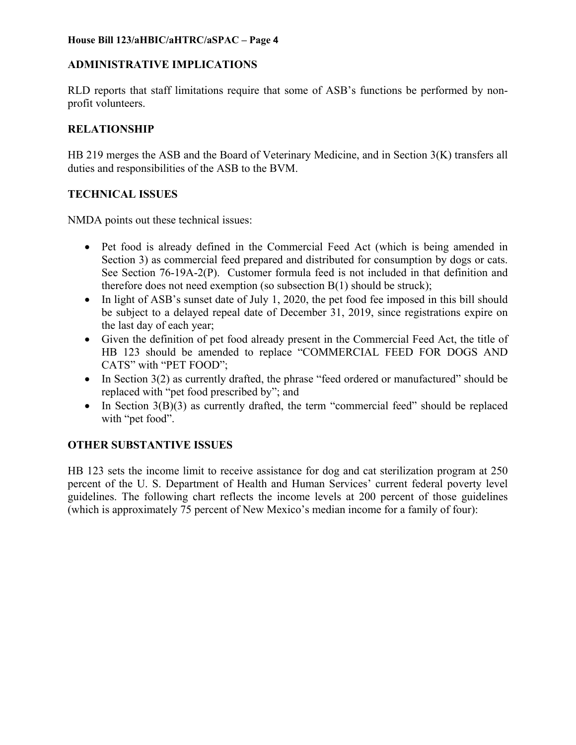#### **House Bill 123/aHBIC/aHTRC/aSPAC – Page 4**

### **ADMINISTRATIVE IMPLICATIONS**

RLD reports that staff limitations require that some of ASB's functions be performed by nonprofit volunteers.

# **RELATIONSHIP**

HB 219 merges the ASB and the Board of Veterinary Medicine, and in Section 3(K) transfers all duties and responsibilities of the ASB to the BVM.

# **TECHNICAL ISSUES**

NMDA points out these technical issues:

- Pet food is already defined in the Commercial Feed Act (which is being amended in Section 3) as commercial feed prepared and distributed for consumption by dogs or cats. See Section 76-19A-2(P). Customer formula feed is not included in that definition and therefore does not need exemption (so subsection  $B(1)$  should be struck);
- In light of ASB's sunset date of July 1, 2020, the pet food fee imposed in this bill should be subject to a delayed repeal date of December 31, 2019, since registrations expire on the last day of each year;
- Given the definition of pet food already present in the Commercial Feed Act, the title of HB 123 should be amended to replace "COMMERCIAL FEED FOR DOGS AND CATS" with "PET FOOD";
- In Section 3(2) as currently drafted, the phrase "feed ordered or manufactured" should be replaced with "pet food prescribed by"; and
- $\bullet$  In Section 3(B)(3) as currently drafted, the term "commercial feed" should be replaced with "pet food".

# **OTHER SUBSTANTIVE ISSUES**

HB 123 sets the income limit to receive assistance for dog and cat sterilization program at 250 percent of the U. S. Department of Health and Human Services' current federal poverty level guidelines. The following chart reflects the income levels at 200 percent of those guidelines (which is approximately 75 percent of New Mexico's median income for a family of four):